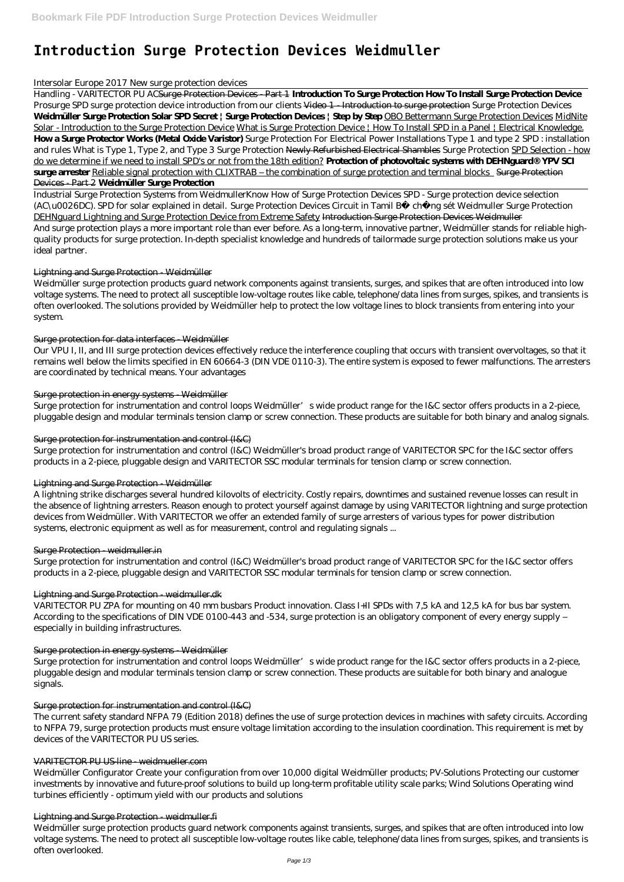# **Introduction Surge Protection Devices Weidmuller**

#### *Intersolar Europe 2017 New surge protection devices*

Handling - VARITECTOR PU ACSurge Protection Devices - Part 1 **Introduction To Surge Protection How To Install Surge Protection Device** *Prosurge SPD surge protection device introduction from our clients* Video 1 - Introduction to surge protection *Surge Protection Devices* **Weidmüller Surge Protection Solar SPD Secret | Surge Protection Devices | Step by Step** OBO Bettermann Surge Protection Devices MidNite Solar - Introduction to the Surge Protection Device What is Surge Protection Device | How To Install SPD in a Panel | Electrical Knowledge. **How a Surge Protector Works (Metal Oxide Varistor)** *Surge Protection For Electrical Power Installations Type 1 and type 2 SPD : installation and rules What is Type 1, Type 2, and Type 3 Surge Protection* Newly Refurbished Electrical Shambles *Surge Protection* SPD Selection - how do we determine if we need to install SPD's or not from the 18th edition? **Protection of photovoltaic systems with DEHNguard® YPV SCI surge arrester** Reliable signal protection with CLIXTRAB – the combination of surge protection and terminal blocks Surge Protection Devices - Part 2 **Weidmüller Surge Protection**

Surge protection for instrumentation and control loops Weidmüller's wide product range for the I&C sector offers products in a 2-piece, pluggable design and modular terminals tension clamp or screw connection. These products are suitable for both binary and analog signals.

Industrial Surge Protection Systems from Weidmuller*Know How of Surge Protection Devices* SPD - Surge protection device selection (AC\u0026DC). SPD for solar explained in detail. *Surge Protection Devices Circuit in Tamil B* ch ng sét Weidmuller Surge Protection DEHNguard Lightning and Surge Protection Device from Extreme Safety Introduction Surge Protection Devices Weidmuller And surge protection plays a more important role than ever before. As a long-term, innovative partner, Weidmüller stands for reliable highquality products for surge protection. In-depth specialist knowledge and hundreds of tailormade surge protection solutions make us your ideal partner.

## Lightning and Surge Protection - Weidmüller

Weidmüller surge protection products guard network components against transients, surges, and spikes that are often introduced into low voltage systems. The need to protect all susceptible low-voltage routes like cable, telephone/data lines from surges, spikes, and transients is often overlooked. The solutions provided by Weidmüller help to protect the low voltage lines to block transients from entering into your system.

# Surge protection for data interfaces Weidmüller

Our VPU I, II, and III surge protection devices effectively reduce the interference coupling that occurs with transient overvoltages, so that it remains well below the limits specified in EN 60664-3 (DIN VDE 0110-3). The entire system is exposed to fewer malfunctions. The arresters are coordinated by technical means. Your advantages

# Surge protection in energy systems Weidmüller

## Surge protection for instrumentation and control (I&C)

Surge protection for instrumentation and control (I&C) Weidmüller's broad product range of VARITECTOR SPC for the I&C sector offers products in a 2-piece, pluggable design and VARITECTOR SSC modular terminals for tension clamp or screw connection.

# Lightning and Surge Protection - Weidmüller

A lightning strike discharges several hundred kilovolts of electricity. Costly repairs, downtimes and sustained revenue losses can result in the absence of lightning arresters. Reason enough to protect yourself against damage by using VARITECTOR lightning and surge protection devices from Weidmüller. With VARITECTOR we offer an extended family of surge arresters of various types for power distribution systems, electronic equipment as well as for measurement, control and regulating signals ...

#### Surge Protection - weidmuller.in

Surge protection for instrumentation and control (I&C) Weidmüller's broad product range of VARITECTOR SPC for the I&C sector offers products in a 2-piece, pluggable design and VARITECTOR SSC modular terminals for tension clamp or screw connection.

# Lightning and Surge Protection - weidmuller.dk

VARITECTOR PU ZPA for mounting on 40 mm busbars Product innovation. Class I+II SPDs with 7,5 kA and 12,5 kA for bus bar system. According to the specifications of DIN VDE 0100-443 and -534, surge protection is an obligatory component of every energy supply – especially in building infrastructures.

#### Surge protection in energy systems - Weidmüller

Surge protection for instrumentation and control loops Weidmüller's wide product range for the I&C sector offers products in a 2-piece,

pluggable design and modular terminals tension clamp or screw connection. These products are suitable for both binary and analogue signals.

#### Surge protection for instrumentation and control (I&C)

The current safety standard NFPA 79 (Edition 2018) defines the use of surge protection devices in machines with safety circuits. According to NFPA 79, surge protection products must ensure voltage limitation according to the insulation coordination. This requirement is met by devices of the VARITECTOR PU US series.

#### VARITECTOR PU US-line - weidmueller.com

Weidmüller Configurator Create your configuration from over 10,000 digital Weidmüller products; PV-Solutions Protecting our customer investments by innovative and future-proof solutions to build up long-term profitable utility scale parks; Wind Solutions Operating wind turbines efficiently - optimum yield with our products and solutions

#### Lightning and Surge Protection - weidmuller.fi

Weidmüller surge protection products guard network components against transients, surges, and spikes that are often introduced into low voltage systems. The need to protect all susceptible low-voltage routes like cable, telephone/data lines from surges, spikes, and transients is often overlooked.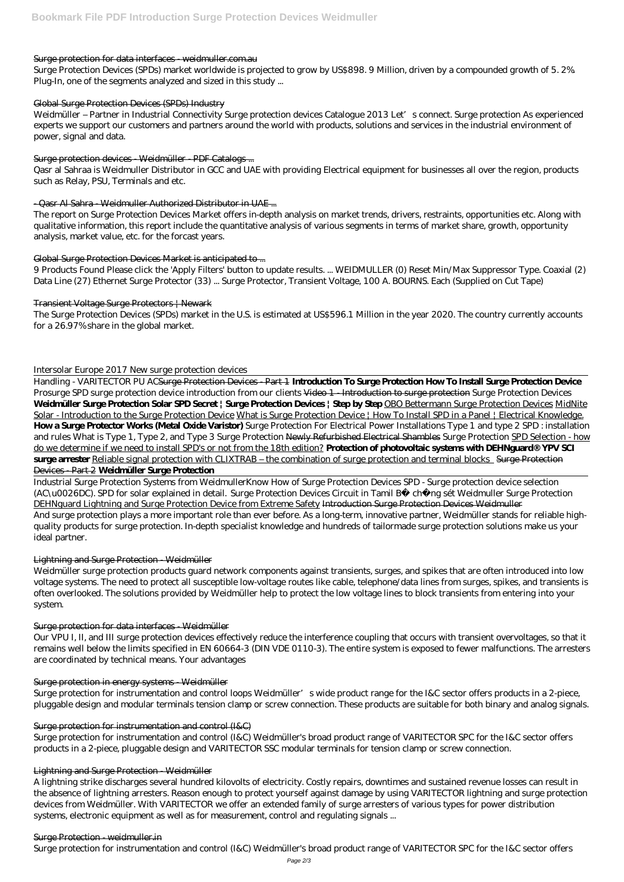#### Surge protection for data interfaces weidmuller.com.au

Surge Protection Devices (SPDs) market worldwide is projected to grow by US\$898. 9 Million, driven by a compounded growth of 5. 2%. Plug-In, one of the segments analyzed and sized in this study ...

Weidmüller – Partner in Industrial Connectivity Surge protection devices Catalogue 2013 Let's connect. Surge protection As experienced experts we support our customers and partners around the world with products, solutions and services in the industrial environment of power, signal and data.

## Global Surge Protection Devices (SPDs) Industry

## Surge protection devices - Weidmüller - PDF Catalogs ...

Qasr al Sahraa is Weidmuller Distributor in GCC and UAE with providing Electrical equipment for businesses all over the region, products such as Relay, PSU, Terminals and etc.

# - Qasr Al Sahra - Weidmuller Authorized Distributor in UAE ...

The report on Surge Protection Devices Market offers in-depth analysis on market trends, drivers, restraints, opportunities etc. Along with qualitative information, this report include the quantitative analysis of various segments in terms of market share, growth, opportunity analysis, market value, etc. for the forcast years.

## Global Surge Protection Devices Market is anticipated to ...

9 Products Found Please click the 'Apply Filters' button to update results. ... WEIDMULLER (0) Reset Min/Max Suppressor Type. Coaxial (2) Data Line (27) Ethernet Surge Protector (33) ... Surge Protector, Transient Voltage, 100 A. BOURNS. Each (Supplied on Cut Tape)

## Transient Voltage Surge Protectors | Newark

The Surge Protection Devices (SPDs) market in the U.S. is estimated at US\$596.1 Million in the year 2020. The country currently accounts for a 26.97% share in the global market.

# *Intersolar Europe 2017 New surge protection devices*

Surge protection for instrumentation and control loops Weidmüller's wide product range for the I&C sector offers products in a 2-piece, pluggable design and modular terminals tension clamp or screw connection. These products are suitable for both binary and analog signals.

Handling - VARITECTOR PU ACSurge Protection Devices - Part 1 **Introduction To Surge Protection How To Install Surge Protection Device** *Prosurge SPD surge protection device introduction from our clients* Video 1 - Introduction to surge protection *Surge Protection Devices* **Weidmüller Surge Protection Solar SPD Secret | Surge Protection Devices | Step by Step** OBO Bettermann Surge Protection Devices MidNite Solar - Introduction to the Surge Protection Device What is Surge Protection Device | How To Install SPD in a Panel | Electrical Knowledge. **How a Surge Protector Works (Metal Oxide Varistor)** *Surge Protection For Electrical Power Installations Type 1 and type 2 SPD : installation and rules What is Type 1, Type 2, and Type 3 Surge Protection* Newly Refurbished Electrical Shambles *Surge Protection* SPD Selection - how do we determine if we need to install SPD's or not from the 18th edition? **Protection of photovoltaic systems with DEHNguard® YPV SCI surge arrester** Reliable signal protection with CLIXTRAB – the combination of surge protection and terminal blocks Surge Protection Devices - Part 2 **Weidmüller Surge Protection**

Industrial Surge Protection Systems from Weidmuller*Know How of Surge Protection Devices* SPD - Surge protection device selection (AC\u0026DC). SPD for solar explained in detail. *Surge Protection Devices Circuit in Tamil B* ch ng sét Weidmuller Surge Protection DEHNguard Lightning and Surge Protection Device from Extreme Safety Introduction Surge Protection Devices Weidmuller And surge protection plays a more important role than ever before. As a long-term, innovative partner, Weidmüller stands for reliable highquality products for surge protection. In-depth specialist knowledge and hundreds of tailormade surge protection solutions make us your ideal partner.

# Lightning and Surge Protection - Weidmüller

Weidmüller surge protection products guard network components against transients, surges, and spikes that are often introduced into low voltage systems. The need to protect all susceptible low-voltage routes like cable, telephone/data lines from surges, spikes, and transients is often overlooked. The solutions provided by Weidmüller help to protect the low voltage lines to block transients from entering into your system.

# Surge protection for data interfaces - Weidmüller

Our VPU I, II, and III surge protection devices effectively reduce the interference coupling that occurs with transient overvoltages, so that it remains well below the limits specified in EN 60664-3 (DIN VDE 0110-3). The entire system is exposed to fewer malfunctions. The arresters are coordinated by technical means. Your advantages

#### Surge protection in energy systems - Weidmüller

#### Surge protection for instrumentation and control (I&C)

Surge protection for instrumentation and control (I&C) Weidmüller's broad product range of VARITECTOR SPC for the I&C sector offers products in a 2-piece, pluggable design and VARITECTOR SSC modular terminals for tension clamp or screw connection.

#### Lightning and Surge Protection - Weidmüller

A lightning strike discharges several hundred kilovolts of electricity. Costly repairs, downtimes and sustained revenue losses can result in the absence of lightning arresters. Reason enough to protect yourself against damage by using VARITECTOR lightning and surge protection devices from Weidmüller. With VARITECTOR we offer an extended family of surge arresters of various types for power distribution systems, electronic equipment as well as for measurement, control and regulating signals ...

#### Surge Protection - weidmuller.in

Surge protection for instrumentation and control (I&C) Weidmüller's broad product range of VARITECTOR SPC for the I&C sector offers